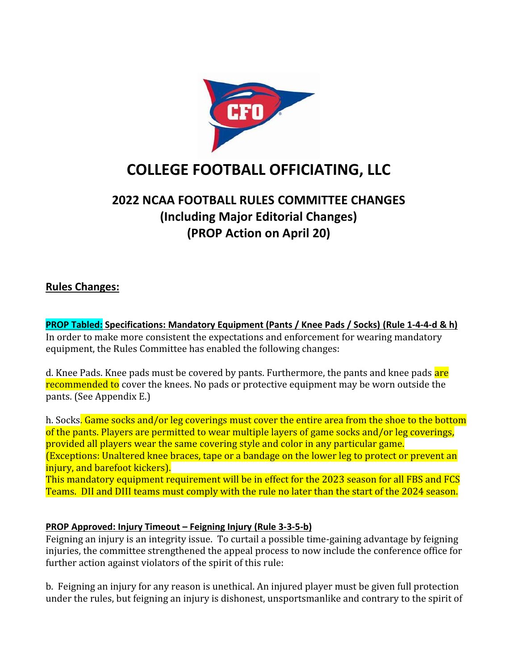

# **COLLEGE FOOTBALL OFFICIATING, LLC**

## **2022 NCAA FOOTBALL RULES COMMITTEE CHANGES (Including Major Editorial Changes) (PROP Action on April 20)**

## **Rules Changes:**

**PROP Tabled: Specifications: Mandatory Equipment (Pants / Knee Pads / Socks) (Rule 1-4-4-d & h)** In order to make more consistent the expectations and enforcement for wearing mandatory equipment, the Rules Committee has enabled the following changes:

d. Knee Pads. Knee pads must be covered by pants. Furthermore, the pants and knee pads are recommended to cover the knees. No pads or protective equipment may be worn outside the pants. (See Appendix E.)

h. Socks. Game socks and/or leg coverings must cover the entire area from the shoe to the bottom of the pants. Players are permitted to wear multiple layers of game socks and/or leg coverings, provided all players wear the same covering style and color in any particular game. (Exceptions: Unaltered knee braces, tape or a bandage on the lower leg to protect or prevent an injury, and barefoot kickers).

This mandatory equipment requirement will be in effect for the 2023 season for all FBS and FCS Teams. DII and DIII teams must comply with the rule no later than the start of the 2024 season.

## **PROP Approved: Injury Timeout – Feigning Injury (Rule 3-3-5-b)**

Feigning an injury is an integrity issue. To curtail a possible time-gaining advantage by feigning injuries, the committee strengthened the appeal process to now include the conference office for further action against violators of the spirit of this rule:

b. Feigning an injury for any reason is unethical. An injured player must be given full protection under the rules, but feigning an injury is dishonest, unsportsmanlike and contrary to the spirit of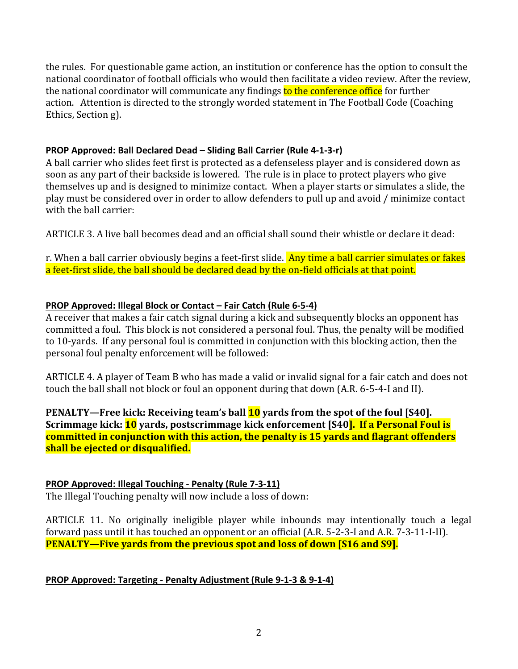the rules. For questionable game action, an institution or conference has the option to consult the national coordinator of football officials who would then facilitate a video review. After the review, the national coordinator will communicate any findings to the conference office for further action. Attention is directed to the strongly worded statement in The Football Code (Coaching Ethics, Section g).

## **PROP Approved: Ball Declared Dead – Sliding Ball Carrier (Rule 4-1-3-r)**

A ball carrier who slides feet first is protected as a defenseless player and is considered down as soon as any part of their backside is lowered. The rule is in place to protect players who give themselves up and is designed to minimize contact. When a player starts or simulates a slide, the play must be considered over in order to allow defenders to pull up and avoid / minimize contact with the ball carrier:

ARTICLE 3. A live ball becomes dead and an official shall sound their whistle or declare it dead:

r. When a ball carrier obviously begins a feet-first slide. Any time a ball carrier simulates or fakes a feet-first slide, the ball should be declared dead by the on-field officials at that point.

## **PROP Approved: Illegal Block or Contact – Fair Catch (Rule 6-5-4)**

A receiver that makes a fair catch signal during a kick and subsequently blocks an opponent has committed a foul. This block is not considered a personal foul. Thus, the penalty will be modified to 10-yards. If any personal foul is committed in conjunction with this blocking action, then the personal foul penalty enforcement will be followed:

ARTICLE 4. A player of Team B who has made a valid or invalid signal for a fair catch and does not touch the ball shall not block or foul an opponent during that down (A.R. 6-5-4-I and II).

**PENALTY—Free kick: Receiving team's ball 10 yards from the spot of the foul [S40]. Scrimmage kick: 10 yards, postscrimmage kick enforcement [S40]. If a Personal Foul is committed in conjunction with this action, the penalty is 15 yards and flagrant offenders shall be ejected or disqualified.**

## **PROP Approved: Illegal Touching - Penalty (Rule 7-3-11)**

The Illegal Touching penalty will now include a loss of down:

ARTICLE 11. No originally ineligible player while inbounds may intentionally touch a legal forward pass until it has touched an opponent or an official (A.R. 5-2-3-I and A.R. 7-3-11-I-II). **PENALTY—Five yards from the previous spot and loss of down [S16 and S9].**

**PROP Approved: Targeting - Penalty Adjustment (Rule 9-1-3 & 9-1-4)**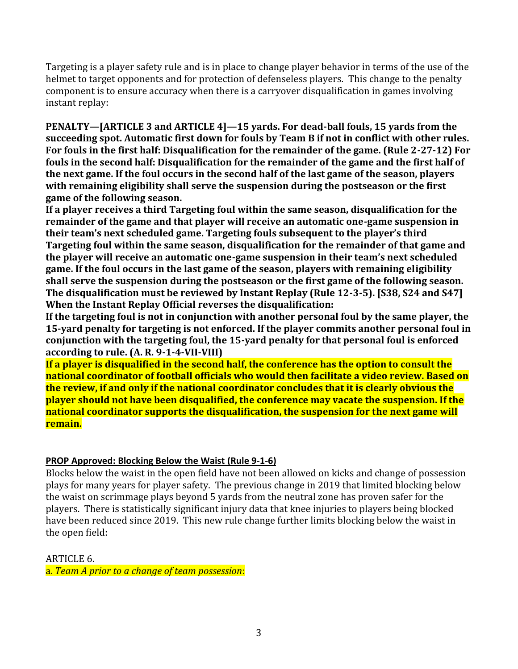Targeting is a player safety rule and is in place to change player behavior in terms of the use of the helmet to target opponents and for protection of defenseless players. This change to the penalty component is to ensure accuracy when there is a carryover disqualification in games involving instant replay:

**PENALTY—[ARTICLE 3 and ARTICLE 4]—15 yards. For dead-ball fouls, 15 yards from the succeeding spot. Automatic first down for fouls by Team B if not in conflict with other rules. For fouls in the first half: Disqualification for the remainder of the game. (Rule 2-27-12) For fouls in the second half: Disqualification for the remainder of the game and the first half of the next game. If the foul occurs in the second half of the last game of the season, players with remaining eligibility shall serve the suspension during the postseason or the first game of the following season.**

**If a player receives a third Targeting foul within the same season, disqualification for the remainder of the game and that player will receive an automatic one-game suspension in their team's next scheduled game. Targeting fouls subsequent to the player's third Targeting foul within the same season, disqualification for the remainder of that game and the player will receive an automatic one-game suspension in their team's next scheduled game. If the foul occurs in the last game of the season, players with remaining eligibility shall serve the suspension during the postseason or the first game of the following season. The disqualification must be reviewed by Instant Replay (Rule 12-3-5). [S38, S24 and S47] When the Instant Replay Official reverses the disqualification:**

**If the targeting foul is not in conjunction with another personal foul by the same player, the 15-yard penalty for targeting is not enforced. If the player commits another personal foul in conjunction with the targeting foul, the 15-yard penalty for that personal foul is enforced according to rule. (A. R. 9-1-4-VII-VIII)**

**If a player is disqualified in the second half, the conference has the option to consult the national coordinator of football officials who would then facilitate a video review. Based on the review, if and only if the national coordinator concludes that it is clearly obvious the player should not have been disqualified, the conference may vacate the suspension. If the national coordinator supports the disqualification, the suspension for the next game will remain.**

## **PROP Approved: Blocking Below the Waist (Rule 9-1-6)**

Blocks below the waist in the open field have not been allowed on kicks and change of possession plays for many years for player safety. The previous change in 2019 that limited blocking below the waist on scrimmage plays beyond 5 yards from the neutral zone has proven safer for the players. There is statistically significant injury data that knee injuries to players being blocked have been reduced since 2019. This new rule change further limits blocking below the waist in the open field:

ARTICLE 6.

a. *Team A prior to a change of team possession*: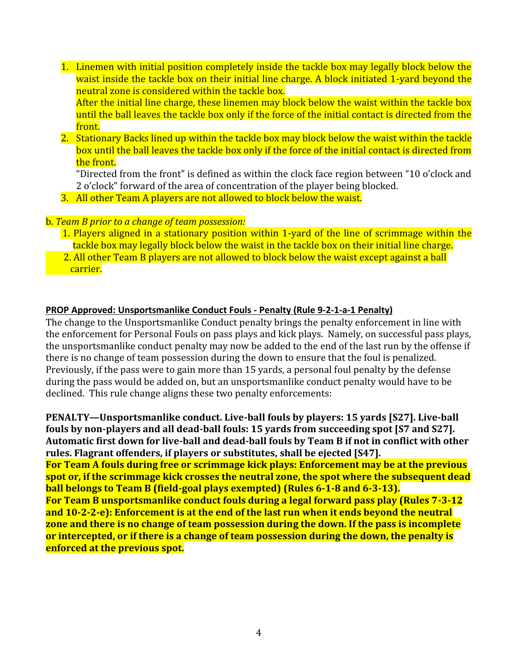- 1. Linemen with initial position completely inside the tackle box may legally block below the waist inside the tackle box on their initial line charge. A block initiated 1-yard beyond the neutral zone is considered within the tackle box. After the initial line charge, these linemen may block below the waist within the tackle box until the ball leaves the tackle box only if the force of the initial contact is directed from the front.
- 2. Stationary Backs lined up within the tackle box may block below the waist within the tackle box until the ball leaves the tackle box only if the force of the initial contact is directed from the front.

"Directed from the front" is defined as within the clock face region between "10 o'clock and 2 o'clock" forward of the area of concentration of the player being blocked.

3. All other Team A players are not allowed to block below the waist.

## b. *Team B prior to a change of team possession:*

- 1. Players aligned in a stationary position within 1-yard of the line of scrimmage within the tackle box may legally block below the waist in the tackle box on their initial line charge.
- 2. All other Team B players are not allowed to block below the waist except against a ball carrier.

#### **PROP Approved: Unsportsmanlike Conduct Fouls - Penalty (Rule 9-2-1-a-1 Penalty)**

The change to the Unsportsmanlike Conduct penalty brings the penalty enforcement in line with the enforcement for Personal Fouls on pass plays and kick plays. Namely, on successful pass plays, the unsportsmanlike conduct penalty may now be added to the end of the last run by the offense if there is no change of team possession during the down to ensure that the foul is penalized. Previously, if the pass were to gain more than 15 yards, a personal foul penalty by the defense during the pass would be added on, but an unsportsmanlike conduct penalty would have to be declined. This rule change aligns these two penalty enforcements:

**PENALTY—Unsportsmanlike conduct. Live-ball fouls by players: 15 yards [S27]. Live-ball fouls by non-players and all dead-ball fouls: 15 yards from succeeding spot [S7 and S27]. Automatic first down for live-ball and dead-ball fouls by Team B if not in conflict with other rules. Flagrant offenders, if players or substitutes, shall be ejected [S47]. For Team A fouls during free or scrimmage kick plays: Enforcement may be at the previous spot or, if the scrimmage kick crosses the neutral zone, the spot where the subsequent dead ball belongs to Team B (field-goal plays exempted) (Rules 6-1-8 and 6-3-13). For Team B unsportsmanlike conduct fouls during a legal forward pass play (Rules 7-3-12 and 10-2-2-e): Enforcement is at the end of the last run when it ends beyond the neutral zone and there is no change of team possession during the down. If the pass is incomplete or intercepted, or if there is a change of team possession during the down, the penalty is enforced at the previous spot.**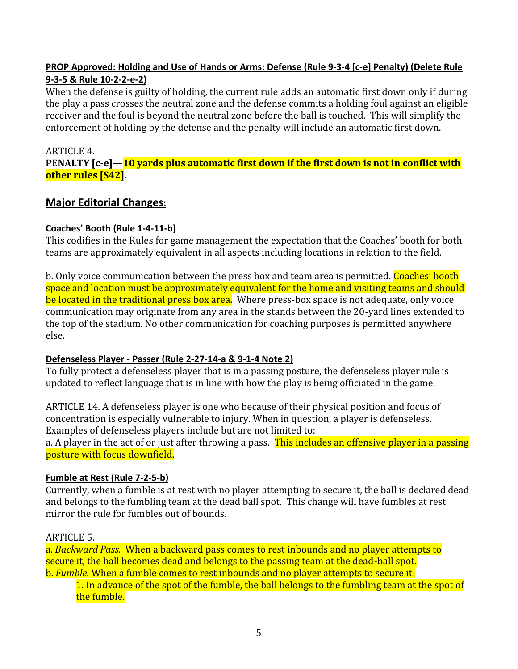## **PROP Approved: Holding and Use of Hands or Arms: Defense (Rule 9-3-4 [c-e] Penalty) (Delete Rule 9-3-5 & Rule 10-2-2-e-2)**

When the defense is guilty of holding, the current rule adds an automatic first down only if during the play a pass crosses the neutral zone and the defense commits a holding foul against an eligible receiver and the foul is beyond the neutral zone before the ball is touched. This will simplify the enforcement of holding by the defense and the penalty will include an automatic first down.

## ARTICLE 4. **PENALTY [c-e]—10 yards plus automatic first down if the first down is not in conflict with other rules [S42].**

## **Major Editorial Changes:**

## **Coaches' Booth (Rule 1-4-11-b)**

This codifies in the Rules for game management the expectation that the Coaches' booth for both teams are approximately equivalent in all aspects including locations in relation to the field.

b. Only voice communication between the press box and team area is permitted. Coaches' booth space and location must be approximately equivalent for the home and visiting teams and should be located in the traditional press box area. Where press-box space is not adequate, only voice communication may originate from any area in the stands between the 20-yard lines extended to the top of the stadium. No other communication for coaching purposes is permitted anywhere else.

## **Defenseless Player - Passer (Rule 2-27-14-a & 9-1-4 Note 2)**

To fully protect a defenseless player that is in a passing posture, the defenseless player rule is updated to reflect language that is in line with how the play is being officiated in the game.

ARTICLE 14. A defenseless player is one who because of their physical position and focus of concentration is especially vulnerable to injury. When in question, a player is defenseless. Examples of defenseless players include but are not limited to:

a. A player in the act of or just after throwing a pass. This includes an offensive player in a passing posture with focus downfield.

## **Fumble at Rest (Rule 7-2-5-b)**

Currently, when a fumble is at rest with no player attempting to secure it, the ball is declared dead and belongs to the fumbling team at the dead ball spot. This change will have fumbles at rest mirror the rule for fumbles out of bounds.

## ARTICLE 5.

a. *Backward Pass.* When a backward pass comes to rest inbounds and no player attempts to secure it, the ball becomes dead and belongs to the passing team at the dead-ball spot. b. *Fumble.* When a fumble comes to rest inbounds and no player attempts to secure it:

## 1. In advance of the spot of the fumble, the ball belongs to the fumbling team at the spot of the fumble.